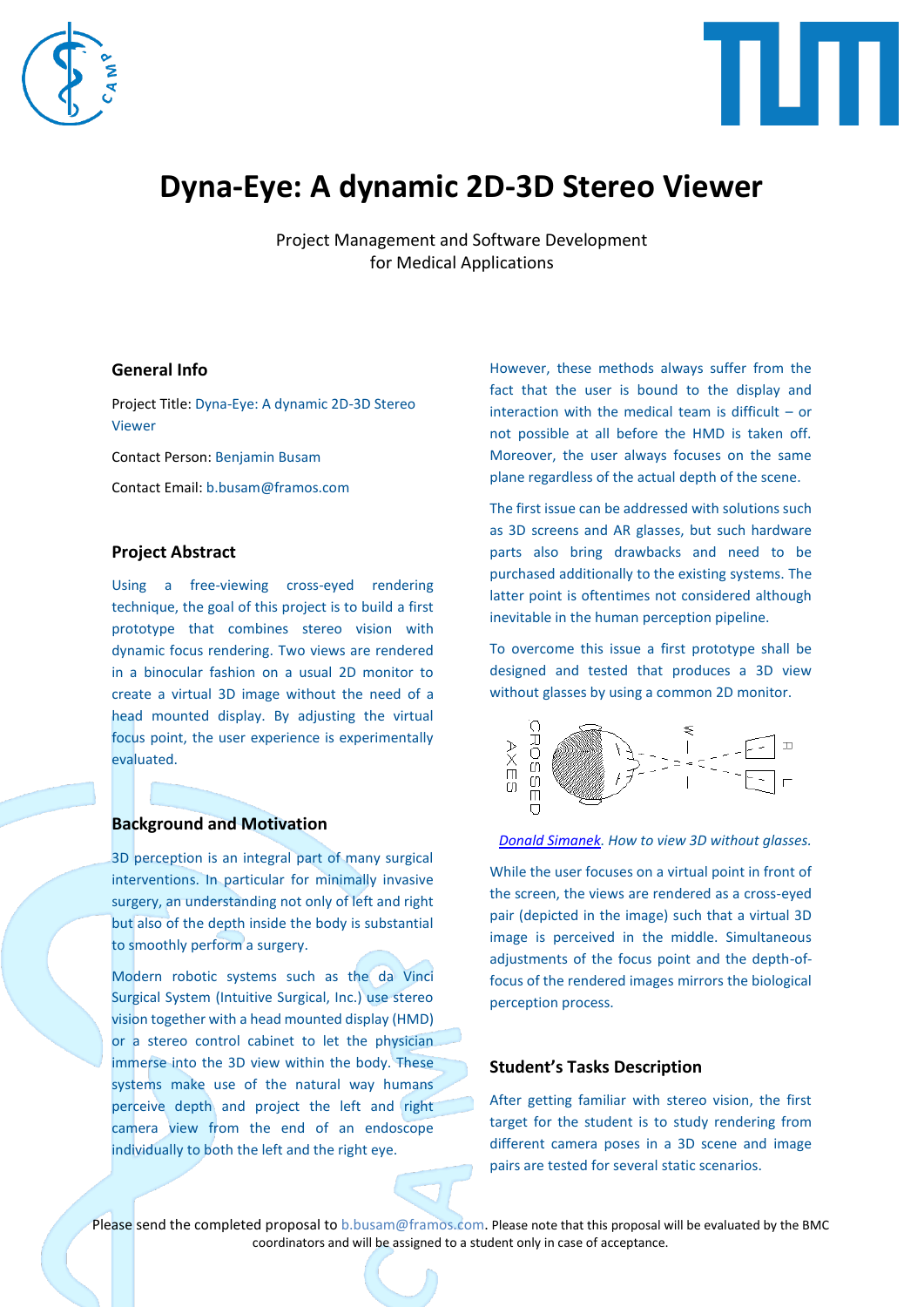



# **Dyna-Eye: A dynamic 2D-3D Stereo Viewer**

Project Management and Software Development for Medical Applications

#### **General Info**

Project Title: Dyna-Eye: A dynamic 2D-3D Stereo Viewer

Contact Person: Benjamin Busam

Contact Email: b.busam@framos.com

### **Project Abstract**

Using a free-viewing cross-eyed rendering technique, the goal of this project is to build a first prototype that combines stereo vision with dynamic focus rendering. Two views are rendered in a binocular fashion on a usual 2D monitor to create a virtual 3D image without the need of a head mounted display. By adjusting the virtual focus point, the user experience is experimentally evaluated.

## **Background and Motivation**

3D perception is an integral part of many surgical interventions. In particular for minimally invasive surgery, an understanding not only of left and right but also of the depth inside the body is substantial to smoothly perform a surgery.

Modern robotic systems such as the da Vinci Surgical System (Intuitive Surgical, Inc.) use stereo vision together with a head mounted display (HMD) or a stereo control cabinet to let the physician immerse into the 3D view within the body. These systems make use of the natural way humans perceive depth and project the left and right camera view from the end of an endoscope individually to both the left and the right eye.

However, these methods always suffer from the fact that the user is bound to the display and interaction with the medical team is difficult – or not possible at all before the HMD is taken off. Moreover, the user always focuses on the same plane regardless of the actual depth of the scene.

The first issue can be addressed with solutions such as 3D screens and AR glasses, but such hardware parts also bring drawbacks and need to be purchased additionally to the existing systems. The latter point is oftentimes not considered although inevitable in the human perception pipeline.

To overcome this issue a first prototype shall be designed and tested that produces a 3D view without glasses by using a common 2D monitor.



#### *[Donald Simanek.](https://www.lhup.edu/~dsimanek/3d/view3d.htm) How to view 3D without glasses.*

While the user focuses on a virtual point in front of the screen, the views are rendered as a cross-eyed pair (depicted in the image) such that a virtual 3D image is perceived in the middle. Simultaneous adjustments of the focus point and the depth-offocus of the rendered images mirrors the biological perception process.

#### **Student's Tasks Description**

After getting familiar with stereo vision, the first target for the student is to study rendering from different camera poses in a 3D scene and image pairs are tested for several static scenarios.

Please send the completed proposal to [b.busam@framos.com.](mailto:b.busam@framos.com) Please note that this proposal will be evaluated by the BMC coordinators and will be assigned to a student only in case of acceptance.